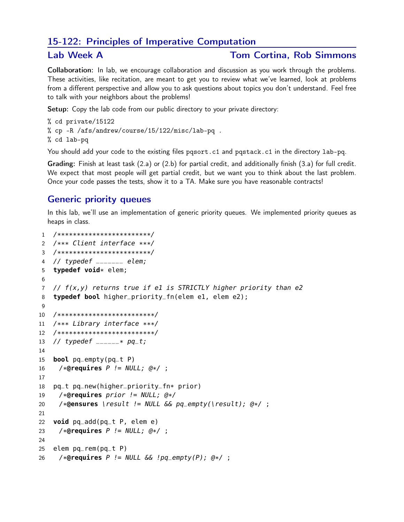# 15-122: Principles of Imperative Computation

#### Lab Week A Tom Cortina, Rob Simmons

Collaboration: In lab, we encourage collaboration and discussion as you work through the problems. These activities, like recitation, are meant to get you to review what we've learned, look at problems from a different perspective and allow you to ask questions about topics you don't understand. Feel free to talk with your neighbors about the problems!

Setup: Copy the lab code from our public directory to your private directory:

% cd private/15122 % cp -R /afs/andrew/course/15/122/misc/lab-pq . % cd lab-pq

You should add your code to the existing files pqsort.c1 and pqstack.c1 in the directory lab-pq.

Grading: Finish at least task (2.a) or (2.b) for partial credit, and additionally finish (3.a) for full credit. We expect that most people will get partial credit, but we want you to think about the last problem. Once your code passes the tests, show it to a TA. Make sure you have reasonable contracts!

## Generic priority queues

In this lab, we'll use an implementation of generic priority queues. We implemented priority queues as heaps in class.

```
1 /************************/
2 /*** Client interface ***/
3 /************************/
4 // typedef _______ elem;
5 typedef void* elem;
6
7 // f(x,y) returns true if e1 is STRICTLY higher priority than e2
8 typedef bool higher_priority_fn(elem e1, elem e2);
9
10 /*************************/
11 /*** Library interface ***/
12 /*************************/
13 // typedef _{---} * pq_t;
14
15 bool pq_empty(pq_t P)
16 /*@requires P != NULL; @*/ ;
17
18 pq_t pq_new(higher_priority_fn* prior)
19 /*@requires prior != NULL; @*/
20 /*@ensures \result != NULL && pq_empty(\result); @*/ ;
21
22 void pq_add(pq_t P, elem e)
23 /*@requires P != NULL; @*/ ;
24
25 elem pq-rem(pq<sub>-t</sub> P)
26 /*@requires P != NULL && !pq_empty(P); @*/ ;
```